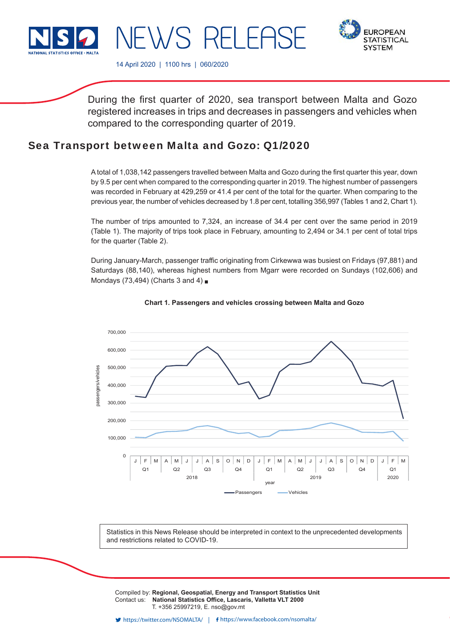

**FUROPEAN STATISTICAL SYSTEM** 

14 April 2020 | 1100 hrs | 060/2020

NEWS RELEAS

During the first quarter of 2020, sea transport between Malta and Gozo registered increases in trips and decreases in passengers and vehicles when compared to the corresponding quarter of 2019.

# Sea Transport between Malta and Gozo: Q1/2020

A total of 1,038,142 passengers travelled between Malta and Gozo during the first quarter this year, down by 9.5 per cent when compared to the corresponding quarter in 2019. The highest number of passengers was recorded in February at 429,259 or 41.4 per cent of the total for the quarter. When comparing to the previous year, the number of vehicles decreased by 1.8 per cent, totalling 356,997 (Tables 1 and 2, Chart 1).

The number of trips amounted to 7,324, an increase of 34.4 per cent over the same period in 2019 (Table 1). The majority of trips took place in February, amounting to 2,494 or 34.1 per cent of total trips for the quarter (Table 2).

During January-March, passenger traffic originating from Cirkewwa was busiest on Fridays (97,881) and Saturdays (88,140), whereas highest numbers from Mgarr were recorded on Sundays (102,606) and Mondays (73,494) (Charts 3 and 4) ■





Statistics in this News Release should be interpreted in context to the unprecedented developments and restrictions related to COVID-19.

Compiled by: **Regional, Geospatial, Energy and Transport Statistics Unit** Contact us: National Statistics Office, Lascaris, Valletta VLT 2000 T. +356 25997219, E. nso@gov.mt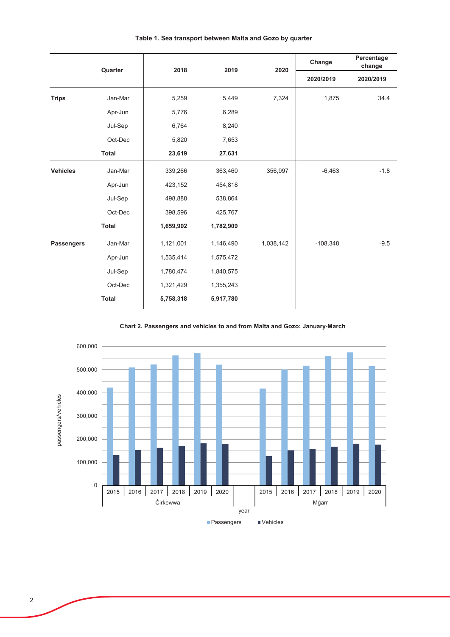|                   | Quarter      | 2018      | 2019      | 2020      | Change     | Percentage<br>change |
|-------------------|--------------|-----------|-----------|-----------|------------|----------------------|
|                   |              |           |           |           | 2020/2019  | 2020/2019            |
| <b>Trips</b>      | Jan-Mar      | 5,259     | 5,449     | 7,324     | 1,875      | 34.4                 |
|                   | Apr-Jun      | 5,776     | 6,289     |           |            |                      |
|                   | Jul-Sep      | 6,764     | 8,240     |           |            |                      |
|                   | Oct-Dec      | 5,820     | 7,653     |           |            |                      |
|                   | <b>Total</b> | 23,619    | 27,631    |           |            |                      |
| <b>Vehicles</b>   | Jan-Mar      | 339,266   | 363,460   | 356,997   | $-6,463$   | $-1.8$               |
|                   | Apr-Jun      | 423,152   | 454,818   |           |            |                      |
|                   | Jul-Sep      | 498,888   | 538,864   |           |            |                      |
|                   | Oct-Dec      | 398,596   | 425,767   |           |            |                      |
|                   | <b>Total</b> | 1,659,902 | 1,782,909 |           |            |                      |
| <b>Passengers</b> | Jan-Mar      | 1,121,001 | 1,146,490 | 1,038,142 | $-108,348$ | $-9.5$               |
|                   | Apr-Jun      | 1,535,414 | 1,575,472 |           |            |                      |
|                   | Jul-Sep      | 1,780,474 | 1,840,575 |           |            |                      |
|                   | Oct-Dec      | 1,321,429 | 1,355,243 |           |            |                      |
|                   | <b>Total</b> | 5,758,318 | 5,917,780 |           |            |                      |

# Table 1. Sea transport between Malta and Gozo by quarter

Chart 2. Passengers and vehicles to and from Malta and Gozo: January-March

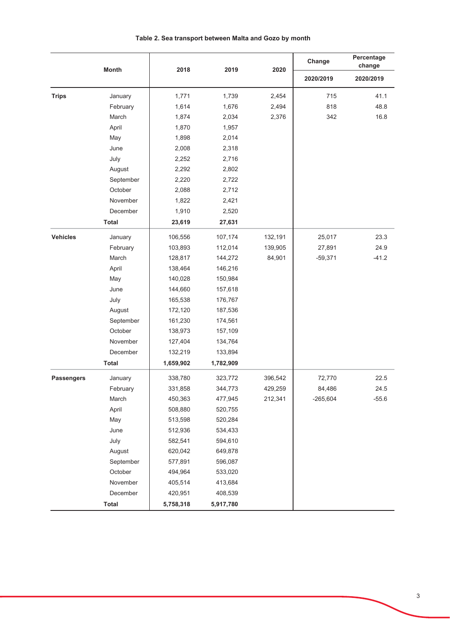|                   | <b>Month</b> | 2018      | 2019      | 2020    | Change     | Percentage<br>change |  |
|-------------------|--------------|-----------|-----------|---------|------------|----------------------|--|
|                   |              |           |           |         | 2020/2019  | 2020/2019            |  |
| <b>Trips</b>      | January      | 1,771     | 1,739     | 2,454   | 715        | 41.1                 |  |
|                   | February     | 1,614     | 1,676     | 2,494   | 818        | 48.8                 |  |
|                   | March        | 1,874     | 2,034     | 2,376   | 342        | 16.8                 |  |
|                   | April        | 1,870     | 1,957     |         |            |                      |  |
|                   | May          | 1,898     | 2,014     |         |            |                      |  |
|                   | June         | 2,008     | 2,318     |         |            |                      |  |
|                   | July         | 2,252     | 2,716     |         |            |                      |  |
|                   | August       | 2,292     | 2,802     |         |            |                      |  |
|                   | September    | 2,220     | 2,722     |         |            |                      |  |
|                   | October      | 2,088     | 2,712     |         |            |                      |  |
|                   | November     | 1,822     | 2,421     |         |            |                      |  |
|                   | December     | 1,910     | 2,520     |         |            |                      |  |
|                   | <b>Total</b> | 23,619    | 27,631    |         |            |                      |  |
| <b>Vehicles</b>   | January      | 106,556   | 107,174   | 132,191 | 25,017     | 23.3                 |  |
|                   | February     | 103,893   | 112,014   | 139,905 | 27,891     | 24.9                 |  |
|                   | March        | 128,817   | 144,272   | 84,901  | $-59,371$  | $-41.2$              |  |
|                   | April        | 138,464   | 146,216   |         |            |                      |  |
|                   | May          | 140,028   | 150,984   |         |            |                      |  |
|                   | June         | 144,660   | 157,618   |         |            |                      |  |
|                   | July         | 165,538   | 176,767   |         |            |                      |  |
|                   | August       | 172,120   | 187,536   |         |            |                      |  |
|                   | September    | 161,230   | 174,561   |         |            |                      |  |
|                   | October      | 138,973   | 157,109   |         |            |                      |  |
|                   | November     | 127,404   | 134,764   |         |            |                      |  |
|                   | December     | 132,219   | 133,894   |         |            |                      |  |
|                   | <b>Total</b> | 1,659,902 | 1,782,909 |         |            |                      |  |
| <b>Passengers</b> | January      | 338,780   | 323,772   | 396,542 | 72,770     | 22.5                 |  |
|                   | February     | 331,858   | 344,773   | 429,259 | 84,486     | 24.5                 |  |
|                   | March        | 450,363   | 477,945   | 212,341 | $-265,604$ | $-55.6$              |  |
|                   | April        | 508,880   | 520,755   |         |            |                      |  |
|                   | May          | 513,598   | 520,284   |         |            |                      |  |
|                   | June         | 512,936   | 534,433   |         |            |                      |  |
|                   | July         | 582,541   | 594,610   |         |            |                      |  |
|                   | August       | 620,042   | 649,878   |         |            |                      |  |
|                   | September    | 577,891   | 596,087   |         |            |                      |  |
|                   | October      | 494,964   | 533,020   |         |            |                      |  |
|                   | November     | 405,514   | 413,684   |         |            |                      |  |
|                   | December     | 420,951   | 408,539   |         |            |                      |  |
|                   | <b>Total</b> | 5,758,318 | 5,917,780 |         |            |                      |  |

# Table 2. Sea transport between Malta and Gozo by month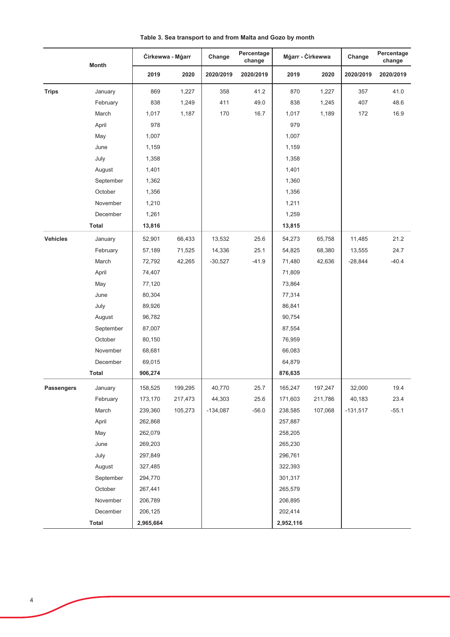|                   | <b>Month</b> | Cirkewwa - Mgarr |         | Percentage<br>Change<br>change |           | Mġarr - Ċirkewwa |         | Change     | Percentage<br>change |
|-------------------|--------------|------------------|---------|--------------------------------|-----------|------------------|---------|------------|----------------------|
|                   |              | 2019             | 2020    | 2020/2019                      | 2020/2019 | 2019             | 2020    | 2020/2019  | 2020/2019            |
| <b>Trips</b>      | January      | 869              | 1,227   | 358                            | 41.2      | 870              | 1,227   | 357        | 41.0                 |
|                   | February     | 838              | 1,249   | 411                            | 49.0      | 838              | 1,245   | 407        | 48.6                 |
|                   | March        | 1,017            | 1,187   | 170                            | 16.7      | 1,017            | 1,189   | 172        | 16.9                 |
|                   | April        | 978              |         |                                |           | 979              |         |            |                      |
|                   | May          | 1,007            |         |                                |           | 1,007            |         |            |                      |
|                   | June         | 1,159            |         |                                |           | 1,159            |         |            |                      |
|                   | July         | 1,358            |         |                                |           | 1,358            |         |            |                      |
|                   | August       | 1,401            |         |                                |           | 1,401            |         |            |                      |
|                   | September    | 1,362            |         |                                |           | 1,360            |         |            |                      |
|                   | October      | 1,356            |         |                                |           | 1,356            |         |            |                      |
|                   | November     | 1,210            |         |                                |           | 1,211            |         |            |                      |
|                   | December     | 1,261            |         |                                |           | 1,259            |         |            |                      |
|                   | <b>Total</b> | 13,816           |         |                                |           | 13,815           |         |            |                      |
| <b>Vehicles</b>   | January      | 52,901           | 66,433  | 13,532                         | 25.6      | 54,273           | 65,758  | 11,485     | 21.2                 |
|                   | February     | 57,189           | 71,525  | 14,336                         | 25.1      | 54,825           | 68,380  | 13,555     | 24.7                 |
|                   | March        | 72,792           | 42,265  | $-30,527$                      | $-41.9$   | 71,480           | 42,636  | $-28,844$  | $-40.4$              |
|                   | April        | 74,407           |         |                                |           | 71,809           |         |            |                      |
|                   | May          | 77,120           |         |                                |           | 73,864           |         |            |                      |
|                   | June         | 80,304           |         |                                |           | 77,314           |         |            |                      |
|                   | July         | 89,926           |         |                                |           | 86,841           |         |            |                      |
|                   | August       | 96,782           |         |                                |           | 90,754           |         |            |                      |
|                   | September    | 87,007           |         |                                |           | 87,554           |         |            |                      |
|                   | October      | 80,150           |         |                                |           | 76,959           |         |            |                      |
|                   | November     | 68,681           |         |                                |           | 66,083           |         |            |                      |
|                   | December     | 69,015           |         |                                |           | 64,879           |         |            |                      |
|                   | <b>Total</b> | 906,274          |         |                                |           | 876,635          |         |            |                      |
| <b>Passengers</b> | January      | 158,525          | 199,295 | 40,770                         | 25.7      | 165,247          | 197,247 | 32,000     | 19.4                 |
|                   | February     | 173,170          | 217,473 | 44,303                         | 25.6      | 171,603          | 211,786 | 40,183     | 23.4                 |
|                   | March        | 239,360          | 105,273 | $-134,087$                     | $-56.0$   | 238,585          | 107,068 | $-131,517$ | $-55.1$              |
|                   | April        | 262,868          |         |                                |           | 257,887          |         |            |                      |
|                   | May          | 262,079          |         |                                |           | 258,205          |         |            |                      |
|                   | June         | 269,203          |         |                                |           | 265,230          |         |            |                      |
|                   | July         | 297,849          |         |                                |           | 296,761          |         |            |                      |
|                   | August       | 327,485          |         |                                |           | 322,393          |         |            |                      |
|                   | September    | 294,770          |         |                                |           | 301,317          |         |            |                      |
|                   | October      | 267,441          |         |                                |           | 265,579          |         |            |                      |
|                   | November     | 206,789          |         |                                |           | 206,895          |         |            |                      |
|                   | December     | 206,125          |         |                                |           | 202,414          |         |            |                      |
|                   | Total        | 2,965,664        |         |                                |           | 2,952,116        |         |            |                      |

Table 3. Sea transport to and from Malta and Gozo by month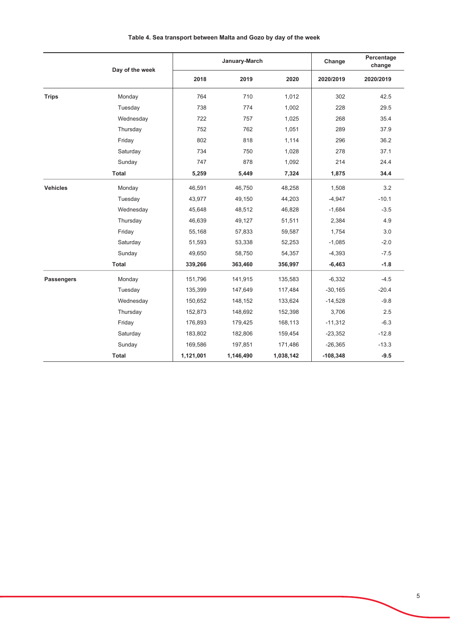|                   | Day of the week |           | January-March | Change    | Percentage<br>change |           |
|-------------------|-----------------|-----------|---------------|-----------|----------------------|-----------|
|                   |                 | 2018      | 2019          | 2020      | 2020/2019            | 2020/2019 |
| <b>Trips</b>      | Monday          | 764       | 710           | 1,012     | 302                  | 42.5      |
|                   | Tuesday         | 738       | 774           | 1,002     | 228                  | 29.5      |
|                   | Wednesday       | 722       | 757           | 1,025     | 268                  | 35.4      |
|                   | Thursday        | 752       | 762           | 1,051     | 289                  | 37.9      |
|                   | Friday          | 802       | 818           | 1,114     | 296                  | 36.2      |
|                   | Saturday        | 734       | 750           | 1,028     | 278                  | 37.1      |
|                   | Sunday          | 747       | 878           | 1,092     | 214                  | 24.4      |
|                   | <b>Total</b>    | 5,259     | 5,449         | 7,324     | 1,875                | 34.4      |
| <b>Vehicles</b>   | Monday          | 46,591    | 46,750        | 48,258    | 1,508                | 3.2       |
|                   | Tuesday         | 43,977    | 49,150        | 44,203    | $-4,947$             | $-10.1$   |
|                   | Wednesday       | 45,648    | 48,512        | 46,828    | $-1,684$             | $-3.5$    |
|                   | Thursday        | 46,639    | 49,127        | 51,511    | 2,384                | 4.9       |
|                   | Friday          | 55,168    | 57,833        | 59,587    | 1,754                | 3.0       |
|                   | Saturday        | 51,593    | 53,338        | 52,253    | $-1,085$             | $-2.0$    |
|                   | Sunday          | 49,650    | 58,750        | 54,357    | $-4,393$             | $-7.5$    |
|                   | Total           | 339,266   | 363,460       | 356,997   | $-6,463$             | $-1.8$    |
| <b>Passengers</b> | Monday          | 151,796   | 141,915       | 135,583   | $-6,332$             | $-4.5$    |
|                   | Tuesday         | 135,399   | 147,649       | 117,484   | $-30,165$            | $-20.4$   |
|                   | Wednesday       | 150,652   | 148,152       | 133,624   | $-14,528$            | $-9.8$    |
|                   | Thursday        | 152,873   | 148,692       | 152,398   | 3,706                | 2.5       |
|                   | Friday          | 176,893   | 179,425       | 168,113   | $-11,312$            | $-6.3$    |
|                   | Saturday        | 183,802   | 182,806       | 159,454   | $-23,352$            | $-12.8$   |
|                   | Sunday          | 169,586   | 197,851       | 171,486   | $-26,365$            | $-13.3$   |
|                   | <b>Total</b>    | 1,121,001 | 1,146,490     | 1,038,142 | $-108,348$           | $-9.5$    |

# Table 4. Sea transport between Malta and Gozo by day of the week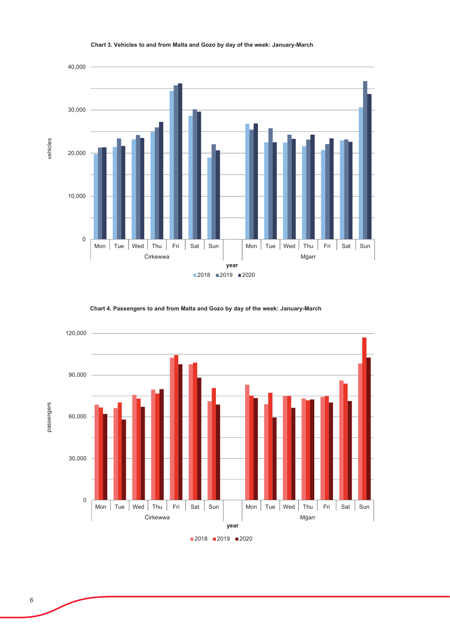

## Chart 3. Vehicles to and from Malta and Gozo by day of the week: January-March

Chart 4. Passengers to and from Malta and Gozo by day of the week: January-March